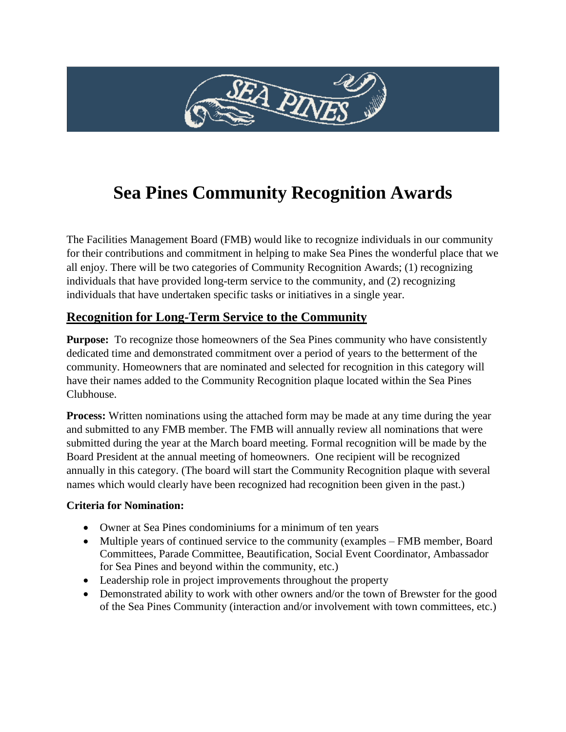

# **Sea Pines Community Recognition Awards**

The Facilities Management Board (FMB) would like to recognize individuals in our community for their contributions and commitment in helping to make Sea Pines the wonderful place that we all enjoy. There will be two categories of Community Recognition Awards; (1) recognizing individuals that have provided long-term service to the community, and (2) recognizing individuals that have undertaken specific tasks or initiatives in a single year.

### **Recognition for Long-Term Service to the Community**

**Purpose:** To recognize those homeowners of the Sea Pines community who have consistently dedicated time and demonstrated commitment over a period of years to the betterment of the community. Homeowners that are nominated and selected for recognition in this category will have their names added to the Community Recognition plaque located within the Sea Pines Clubhouse.

**Process:** Written nominations using the attached form may be made at any time during the year and submitted to any FMB member. The FMB will annually review all nominations that were submitted during the year at the March board meeting. Formal recognition will be made by the Board President at the annual meeting of homeowners. One recipient will be recognized annually in this category. (The board will start the Community Recognition plaque with several names which would clearly have been recognized had recognition been given in the past.)

#### **Criteria for Nomination:**

- Owner at Sea Pines condominiums for a minimum of ten years
- Multiple years of continued service to the community (examples FMB member, Board Committees, Parade Committee, Beautification, Social Event Coordinator, Ambassador for Sea Pines and beyond within the community, etc.)
- Leadership role in project improvements throughout the property
- Demonstrated ability to work with other owners and/or the town of Brewster for the good of the Sea Pines Community (interaction and/or involvement with town committees, etc.)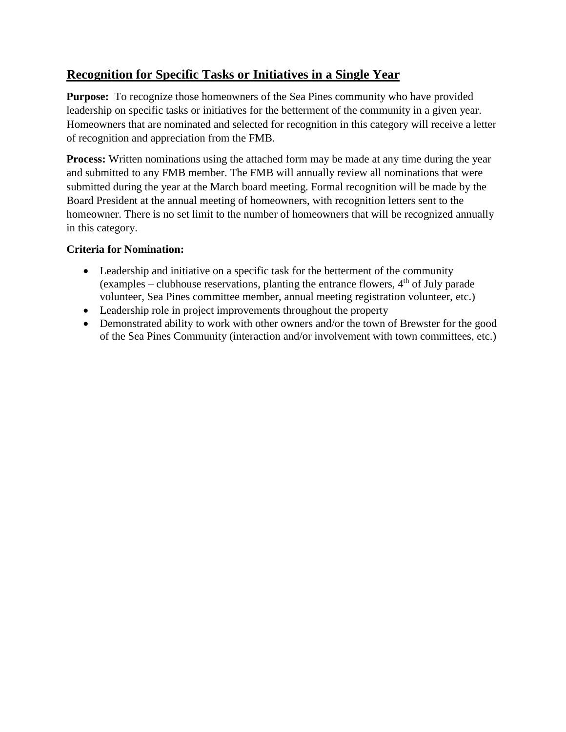### **Recognition for Specific Tasks or Initiatives in a Single Year**

**Purpose:** To recognize those homeowners of the Sea Pines community who have provided leadership on specific tasks or initiatives for the betterment of the community in a given year. Homeowners that are nominated and selected for recognition in this category will receive a letter of recognition and appreciation from the FMB.

**Process:** Written nominations using the attached form may be made at any time during the year and submitted to any FMB member. The FMB will annually review all nominations that were submitted during the year at the March board meeting. Formal recognition will be made by the Board President at the annual meeting of homeowners, with recognition letters sent to the homeowner. There is no set limit to the number of homeowners that will be recognized annually in this category.

#### **Criteria for Nomination:**

- Leadership and initiative on a specific task for the betterment of the community (examples – clubhouse reservations, planting the entrance flowers,  $4<sup>th</sup>$  of July parade volunteer, Sea Pines committee member, annual meeting registration volunteer, etc.)
- Leadership role in project improvements throughout the property
- Demonstrated ability to work with other owners and/or the town of Brewster for the good of the Sea Pines Community (interaction and/or involvement with town committees, etc.)